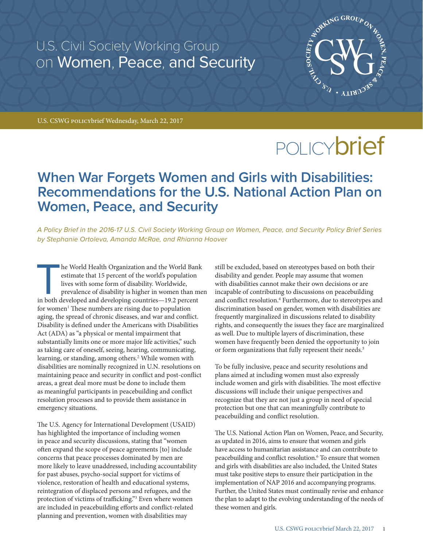U.S. Civil Society Working Group on Women, Peace, and Security



U.S. CSWG policybrief Wednesday, March 22, 2017

# POLICY**brief**

## **When War Forgets Women and Girls with Disabilities: Recommendations for the U.S. National Action Plan on Women, Peace, and Security**

*A Policy Brief in the 2016-17 U.S. Civil Society Working Group on Women, Peace, and Security Policy Brief Series by Stephanie Ortoleva, Amanda McRae, and Rhianna Hoover* 

he World Health Organization and the World Bank estimate that 15 percent of the world's population lives with some form of disability. Worldwide, prevalence of disability is higher in women than me in both developed and de estimate that 15 percent of the world's population lives with some form of disability. Worldwide, prevalence of disability is higher in women than men for women<sup>1</sup> These numbers are rising due to population aging, the spread of chronic diseases, and war and conflict. Disability is defined under the Americans with Disabilities Act (ADA) as "a physical or mental impairment that substantially limits one or more major life activities," such as taking care of oneself, seeing, hearing, communicating, learning, or standing, among others.<sup>2</sup> While women with disabilities are nominally recognized in U.N. resolutions on maintaining peace and security in conflict and post-conflict areas, a great deal more must be done to include them as meaningful participants in peacebuilding and conflict resolution processes and to provide them assistance in emergency situations.

The U.S. Agency for International Development (USAID) has highlighted the importance of including women in peace and security discussions, stating that "women often expand the scope of peace agreements [to] include concerns that peace processes dominated by men are more likely to leave unaddressed, including accountability for past abuses, psycho-social support for victims of violence, restoration of health and educational systems, reintegration of displaced persons and refugees, and the protection of victims of trafficking."<sup>3</sup> Even where women are included in peacebuilding efforts and conflict-related planning and prevention, women with disabilities may

still be excluded, based on stereotypes based on both their disability and gender. People may assume that women with disabilities cannot make their own decisions or are incapable of contributing to discussions on peacebuilding and conflict resolution.<sup>4</sup> Furthermore, due to stereotypes and discrimination based on gender, women with disabilities are frequently marginalized in discussions related to disability rights, and consequently the issues they face are marginalized as well. Due to multiple layers of discrimination, these women have frequently been denied the opportunity to join or form organizations that fully represent their needs.<sup>5</sup>

To be fully inclusive, peace and security resolutions and plans aimed at including women must also expressly include women and girls with disabilities. The most effective discussions will include their unique perspectives and recognize that they are not just a group in need of special protection but one that can meaningfully contribute to peacebuilding and conflict resolution.

The U.S. National Action Plan on Women, Peace, and Security, as updated in 2016, aims to ensure that women and girls have access to humanitarian assistance and can contribute to peacebuilding and conflict resolution.<sup>6</sup> To ensure that women and girls with disabilities are also included, the United States must take positive steps to ensure their participation in the implementation of NAP 2016 and accompanying programs. Further, the United States must continually revise and enhance the plan to adapt to the evolving understanding of the needs of these women and girls.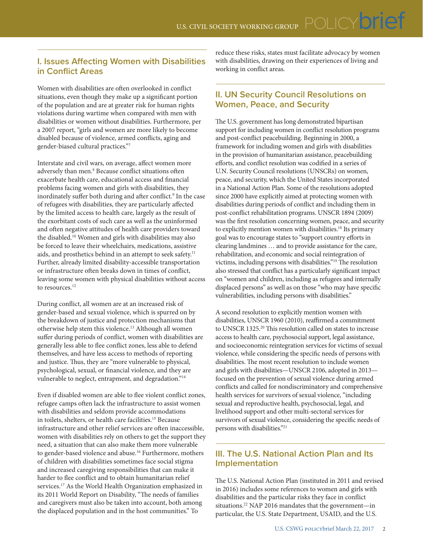### **I. Issues Affecting Women with Disabilities in Conflict Areas**

Women with disabilities are often overlooked in conflict situations, even though they make up a significant portion of the population and are at greater risk for human rights violations during wartime when compared with men with disabilities or women without disabilities. Furthermore, per a 2007 report, "girls and women are more likely to become disabled because of violence, armed conflicts, aging and gender-biased cultural practices."<sup>7</sup>

Interstate and civil wars, on average, affect women more adversely than men.<sup>8</sup> Because conflict situations often exacerbate health care, educational access and financial problems facing women and girls with disabilities, they inordinately suffer both during and after conflict.<sup>9</sup> In the case of refugees with disabilities, they are particularly affected by the limited access to health care, largely as the result of the exorbitant costs of such care as well as the uninformed and often negative attitudes of health care providers toward the disabled.<sup>10</sup> Women and girls with disabilities may also be forced to leave their wheelchairs, medications, assistive aids, and prosthetics behind in an attempt to seek safety.<sup>11</sup> Further, already limited disability-accessible transportation or infrastructure often breaks down in times of conflict, leaving some women with physical disabilities without access to resources.<sup>12</sup>

During conflict, all women are at an increased risk of gender-based and sexual violence, which is spurred on by the breakdown of justice and protection mechanisms that otherwise help stem this violence.<sup>13</sup> Although all women suffer during periods of conflict, women with disabilities are generally less able to flee conflict zones, less able to defend themselves, and have less access to methods of reporting and justice. Thus, they are "more vulnerable to physical, psychological, sexual, or financial violence, and they are vulnerable to neglect, entrapment, and degradation."<sup>14</sup>

Even if disabled women are able to flee violent conflict zones, refugee camps often lack the infrastructure to assist women with disabilities and seldom provide accommodations in toilets, shelters, or health care facilities.<sup>15</sup> Because infrastructure and other relief services are often inaccessible, women with disabilities rely on others to get the support they need, a situation that can also make them more vulnerable to gender-based violence and abuse.<sup>16</sup> Furthermore, mothers of children with disabilities sometimes face social stigma and increased caregiving responsibilities that can make it harder to flee conflict and to obtain humanitarian relief services.<sup>17</sup> As the World Health Organization emphasized in its 2011 World Report on Disability, "The needs of families and caregivers must also be taken into account, both among the displaced population and in the host communities." To

reduce these risks, states must facilitate advocacy by women with disabilities, drawing on their experiences of living and working in conflict areas.

#### **II. UN Security Council Resolutions on Women, Peace, and Security**

The U.S. government has long demonstrated bipartisan support for including women in conflict resolution programs and post-conflict peacebuilding. Beginning in 2000, a framework for including women and girls with disabilities in the provision of humanitarian assistance, peacebuilding efforts, and conflict resolution was codified in a series of U.N. Security Council resolutions (UNSCRs) on women, peace, and security, which the United States incorporated in a National Action Plan. Some of the resolutions adopted since 2000 have explicitly aimed at protecting women with disabilities during periods of conflict and including them in post-conflict rehabilitation programs. UNSCR 1894 (2009) was the first resolution concerning women, peace, and security to explicitly mention women with disabilities.<sup>18</sup> Its primary goal was to encourage states to "support country efforts in clearing landmines … and to provide assistance for the care, rehabilitation, and economic and social reintegration of victims, including persons with disabilities."<sup>19</sup> The resolution also stressed that conflict has a particularly significant impact on "women and children, including as refugees and internally displaced persons" as well as on those "who may have specific vulnerabilities, including persons with disabilities."

A second resolution to explicitly mention women with disabilities, UNSCR 1960 (2010), reaffirmed a commitment to UNSCR 1325.<sup>20</sup> This resolution called on states to increase access to health care, psychosocial support, legal assistance, and socioeconomic reintegration services for victims of sexual violence, while considering the specific needs of persons with disabilities. The most recent resolution to include women and girls with disabilities—UNSCR 2106, adopted in 2013 focused on the prevention of sexual violence during armed conflicts and called for nondiscriminatory and comprehensive health services for survivors of sexual violence, "including sexual and reproductive health, psychosocial, legal, and livelihood support and other multi-sectoral services for survivors of sexual violence, considering the specific needs of persons with disabilities."<sup>21</sup>

#### **III. The U.S. National Action Plan and Its Implementation**

The U.S. National Action Plan (instituted in 2011 and revised in 2016) includes some references to women and girls with disabilities and the particular risks they face in conflict situations.<sup>22</sup> NAP 2016 mandates that the government—in particular, the U.S. State Department, USAID, and the U.S.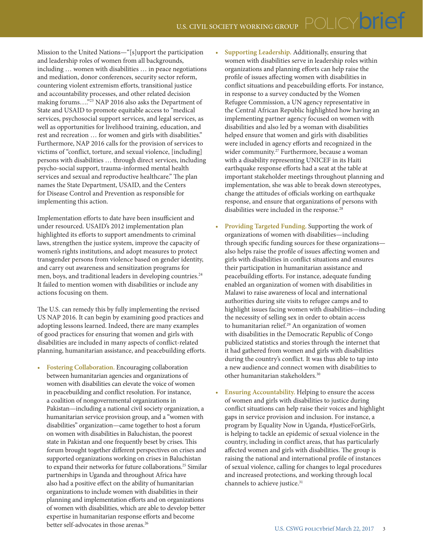Mission to the United Nations—"[s]upport the participation and leadership roles of women from all backgrounds, including … women with disabilities … in peace negotiations and mediation, donor conferences, security sector reform, countering violent extremism efforts, transitional justice and accountability processes, and other related decision making forums…."<sup>23</sup> NAP 2016 also asks the Department of State and USAID to promote equitable access to "medical services, psychosocial support services, and legal services, as well as opportunities for livelihood training, education, and rest and recreation … for women and girls with disabilities." Furthermore, NAP 2016 calls for the provision of services to victims of "conflict, torture, and sexual violence, [including] persons with disabilities … through direct services, including psycho-social support, trauma-informed mental health services and sexual and reproductive healthcare." The plan names the State Department, USAID, and the Centers for Disease Control and Prevention as responsible for implementing this action.

Implementation efforts to date have been insufficient and under resourced. USAID's 2012 implementation plan highlighted its efforts to support amendments to criminal laws, strengthen the justice system, improve the capacity of women's rights institutions, and adopt measures to protect transgender persons from violence based on gender identity, and carry out awareness and sensitization programs for men, boys, and traditional leaders in developing countries.<sup>24</sup> It failed to mention women with disabilities or include any actions focusing on them.

The U.S. can remedy this by fully implementing the revised US NAP 2016. It can begin by examining good practices and adopting lessons learned. Indeed, there are many examples of good practices for ensuring that women and girls with disabilities are included in many aspects of conflict-related planning, humanitarian assistance, and peacebuilding efforts.

• **Fostering Collaboration.** Encouraging collaboration between humanitarian agencies and organizations of women with disabilities can elevate the voice of women in peacebuilding and conflict resolution. For instance, a coalition of nongovernmental organizations in Pakistan—including a national civil society organization, a humanitarian service provision group, and a "women with disabilities" organization—came together to host a forum on women with disabilities in Baluchistan, the poorest state in Pakistan and one frequently beset by crises. This forum brought together different perspectives on crises and supported organizations working on crises in Baluchistan to expand their networks for future collaborations.<sup>25</sup> Similar partnerships in Uganda and throughout Africa have also had a positive effect on the ability of humanitarian organizations to include women with disabilities in their planning and implementation efforts and on organizations of women with disabilities, which are able to develop better expertise in humanitarian response efforts and become better self-advocates in those arenas.<sup>26</sup>

• **Supporting Leadership.** Additionally, ensuring that women with disabilities serve in leadership roles within organizations and planning efforts can help raise the profile of issues affecting women with disabilities in conflict situations and peacebuilding efforts. For instance, in response to a survey conducted by the Women Refugee Commission, a UN agency representative in the Central African Republic highlighted how having an implementing partner agency focused on women with disabilities and also led by a woman with disabilities helped ensure that women and girls with disabilities were included in agency efforts and recognized in the wider community.<sup>27</sup> Furthermore, because a woman with a disability representing UNICEF in its Haiti earthquake response efforts had a seat at the table at important stakeholder meetings throughout planning and implementation, she was able to break down stereotypes, change the attitudes of officials working on earthquake response, and ensure that organizations of persons with disabilities were included in the response.<sup>28</sup>

- **Providing Targeted Funding.** Supporting the work of organizations of women with disabilities—including through specific funding sources for these organizations also helps raise the profile of issues affecting women and girls with disabilities in conflict situations and ensures their participation in humanitarian assistance and peacebuilding efforts. For instance, adequate funding enabled an organization of women with disabilities in Malawi to raise awareness of local and international authorities during site visits to refugee camps and to highlight issues facing women with disabilities—including the necessity of selling sex in order to obtain access to humanitarian relief.<sup>29</sup> An organization of women with disabilities in the Democratic Republic of Congo publicized statistics and stories through the internet that it had gathered from women and girls with disabilities during the country's conflict. It was thus able to tap into a new audience and connect women with disabilities to other humanitarian stakeholders.30
- **Ensuring Accountability.** Helping to ensure the access of women and girls with disabilities to justice during conflict situations can help raise their voices and highlight gaps in service provision and inclusion. For instance, a program by Equality Now in Uganda, #JusticeForGirls, is helping to tackle an epidemic of sexual violence in the country, including in conflict areas, that has particularly affected women and girls with disabilities. The group is raising the national and international profile of instances of sexual violence, calling for changes to legal procedures and increased protections, and working through local channels to achieve justice.<sup>31</sup>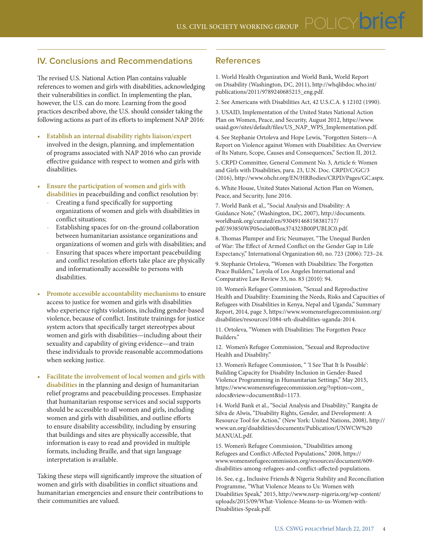#### **IV. Conclusions and Recommendations**

The revised U.S. National Action Plan contains valuable references to women and girls with disabilities, acknowledging their vulnerabilities in conflict. In implementing the plan, however, the U.S. can do more. Learning from the good practices described above, the U.S. should consider taking the following actions as part of its efforts to implement NAP 2016:

- **Establish an internal disability rights liaison/expert** involved in the design, planning, and implementation of programs associated with NAP 2016 who can provide effective guidance with respect to women and girls with disabilities.
- **Ensure the participation of women and girls with disabilities** in peacebuilding and conflict resolution by:
	- Creating a fund specifically for supporting organizations of women and girls with disabilities in conflict situations;
	- Establishing spaces for on-the-ground collaboration between humanitarian assistance organizations and organizations of women and girls with disabilities; and
	- Ensuring that spaces where important peacebuilding and conflict resolution efforts take place are physically and informationally accessible to persons with disabilities.
- **Promote accessible accountability mechanisms** to ensure access to justice for women and girls with disabilities who experience rights violations, including gender-based violence, because of conflict. Institute trainings for justice system actors that specifically target stereotypes about women and girls with disabilities—including about their sexuality and capability of giving evidence—and train these individuals to provide reasonable accommodations when seeking justice.
- **Facilitate the involvement of local women and girls with disabilities** in the planning and design of humanitarian relief programs and peacebuilding processes. Emphasize that humanitarian response services and social supports should be accessible to all women and girls, including women and girls with disabilities, and outline efforts to ensure disability accessibility, including by ensuring that buildings and sites are physically accessible, that information is easy to read and provided in multiple formats, including Braille, and that sign language interpretation is available.

Taking these steps will significantly improve the situation of women and girls with disabilities in conflict situations and humanitarian emergencies and ensure their contributions to their communities are valued.

#### **References**

1. World Health Organization and World Bank, World Report on Disability (Washington, DC, 2011), http://whqlibdoc.who.int/ publications/2011/9789240685215\_eng.pdf.

2. See Americans with Disabilities Act, 42 U.S.C.A. § 12102 (1990).

3. USAID, Implementation of the United States National Action Plan on Women, Peace, and Security, August 2012, https://www. usaid.gov/sites/default/files/US\_NAP\_WPS\_Implementation.pdf.

4. See Stephanie Ortoleva and Hope Lewis, "Forgotten Sisters—A Report on Violence against Women with Disabilities: An Overview of Its Nature, Scope, Causes and Consequences," Section II, 2012.

5. CRPD Committee, General Comment No. 3, Article 6: Women and Girls with Disabilities, para. 23, U.N. Doc. CRPD/C/GC/3 (2016), http://www.ohchr.org/EN/HRBodies/CRPD/Pages/GC.aspx.

6. White House, United States National Action Plan on Women, Peace, and Security, June 2016.

7. World Bank et al., "Social Analysis and Disability: A Guidance Note," (Washington, DC, 2007), http://documents. worldbank.org/curated/en/930491468158381717/ pdf/393850WP0Socia00Box374323B00PUBLIC0.pdf.

8. Thomas Plumper and Eric Neumayer, "The Unequal Burden of War: The Effect of Armed Conflict on the Gender Gap in Life Expectancy," International Organization 60, no. 723 (2006): 723–24.

9. Stephanie Ortoleva, "Women with Disabilities: The Forgotten Peace Builders," Loyola of Los Angeles International and Comparative Law Review 33, no. 83 (2010): 94.

10. Women's Refugee Commission, "Sexual and Reproductive Health and Disability: Examining the Needs, Risks and Capacities of Refugees with Disabilities in Kenya, Nepal and Uganda," Summary Report, 2014, page 3, https://www.womensrefugeecommission.org/ disabilities/resources/1084-srh-disabilities-uganda-2014.

11. Ortoleva, "Women with Disabilities: The Forgotten Peace Builders."

12. Women's Refugee Commission, "Sexual and Reproductive Health and Disability."

13. Women's Refugee Commission, " 'I See That It Is Possible': Building Capacity for Disability Inclusion in Gender-Based Violence Programming in Humanitarian Settings," May 2015, https://www.womensrefugeecommission.org/?option=com\_ zdocs&view=document&id=1173.

14. World Bank et al., "Social Analysis and Disability;" Rangita de Silva de Alwis, "Disability Rights, Gender, and Development: A Resource Tool for Action," (New York: United Nations, 2008), http:// www.un.org/disabilities/documents/Publication/UNWCW%20 MANUAL.pdf.

15. Women's Refugee Commission, "Disabilities among Refugees and Conflict-Affected Populations," 2008, https:// www.womensrefugeecommission.org/resources/document/609 disabilities-among-refugees-and-conflict-affected-populations.

16. See, e.g., Inclusive Friends & Nigeria Stability and Reconciliation Programme, "What Violence Means to Us: Women with Disabilities Speak," 2015, http://www.nsrp-nigeria.org/wp-content/ uploads/2015/09/What-Violence-Means-to-us-Women-with-Disabilities-Speak.pdf.